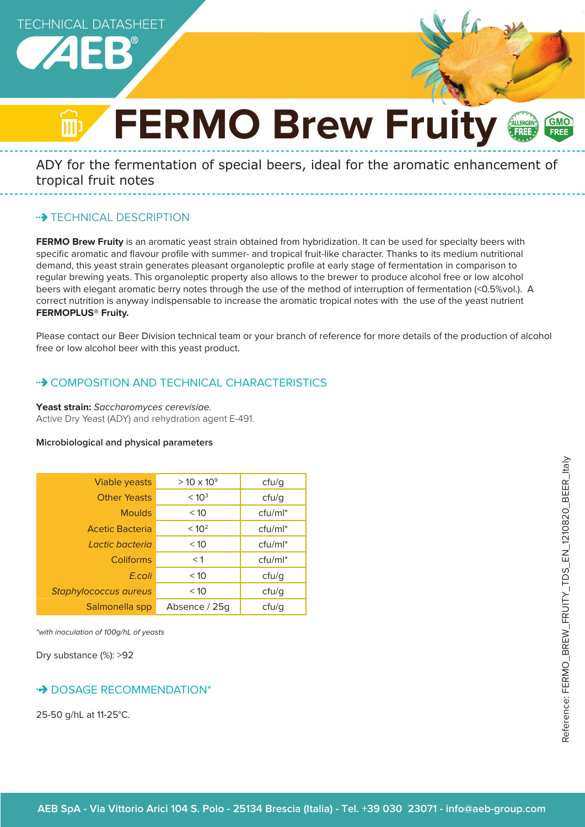

# **FERMO Brew Fruity FALLERGEN GMC**

ADY for the fermentation of special beers, ideal for the aromatic enhancement of tropical fruit notes

# **\*\*> TECHNICAL DESCRIPTION**

**FERMO Brew Fruity** is an aromatic yeast strain obtained from hybridization. It can be used for specialty beers with specific aromatic and flavour profile with summer- and tropical fruit-like character. Thanks to its medium nutritional demand, this yeast strain generates pleasant organoleptic profile at early stage of fermentation in comparison to regular brewing yeats. This organoleptic property also allows to the brewer to produce alcohol free or low alcohol beers with elegant aromatic berry notes through the use of the method of interruption of fermentation (<0.5%vol.). A correct nutrition is anyway indispensable to increase the aromatic tropical notes with the use of the yeast nutrient **FERMOPLUS® Fruity.**

Please contact our Beer Division technical team or your branch of reference for more details of the production of alcohol free or low alcohol beer with this yeast product.

# • COMPOSITION AND TECHNICAL CHARACTERISTICS

#### **Yeast strain:** Saccharomyces cerevisiae.

Active Dry Yeast (ADY) and rehydration agent E-491.

#### **Microbiological and physical parameters**

| <b>Viable yeasts</b>  | $> 10 \times 10^{9}$ | cfu/g      |
|-----------------------|----------------------|------------|
| <b>Other Yeasts</b>   | < 10 <sup>3</sup>    | ctu/g      |
| <b>Moulds</b>         | < 10                 | $ctu/ml^*$ |
| Acetic Bacteria       | < 10 <sup>2</sup>    | $ctu/ml^*$ |
| I actic bacteria      | < 10                 | $ctu/ml^*$ |
| Coliforms             | $<$ 1                | $ctu/ml^*$ |
| E.coli                | < 10                 | ctu/g      |
| Staphylococcus aureus | < 10                 | ctu/g      |
| Salmonella spp        | Absence / 25g        | ctu/g      |

\*with inoculation of 100g/hL of yeasts

Dry substance (%): >92

# **DOSAGE RECOMMENDATION\***

25-50 g/hL at 11-25°C.